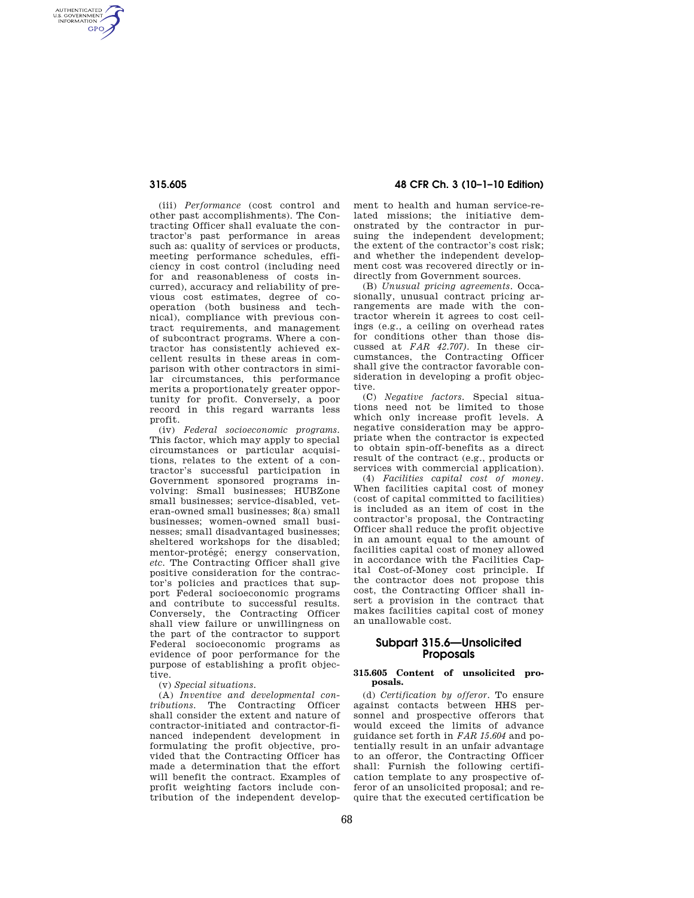AUTHENTICATED<br>U.S. GOVERNMENT<br>INFORMATION **GPO** 

> (iii) *Performance* (cost control and other past accomplishments). The Contracting Officer shall evaluate the contractor's past performance in areas such as: quality of services or products, meeting performance schedules, efficiency in cost control (including need for and reasonableness of costs incurred), accuracy and reliability of previous cost estimates, degree of cooperation (both business and technical), compliance with previous contract requirements, and management of subcontract programs. Where a contractor has consistently achieved excellent results in these areas in comparison with other contractors in similar circumstances, this performance merits a proportionately greater opportunity for profit. Conversely, a poor record in this regard warrants less profit.

> (iv) *Federal socioeconomic programs.*  This factor, which may apply to special circumstances or particular acquisitions, relates to the extent of a contractor's successful participation in Government sponsored programs involving: Small businesses; HUBZone small businesses; service-disabled, veteran-owned small businesses; 8(a) small businesses; women-owned small businesses; small disadvantaged businesses; sheltered workshops for the disabled; mentor-protégé; energy conservation, *etc.* The Contracting Officer shall give positive consideration for the contractor's policies and practices that support Federal socioeconomic programs and contribute to successful results. Conversely, the Contracting Officer shall view failure or unwillingness on the part of the contractor to support Federal socioeconomic programs as evidence of poor performance for the purpose of establishing a profit objective.

(v) *Special situations.* 

(A) *Inventive and developmental contributions.* The Contracting Officer shall consider the extent and nature of contractor-initiated and contractor-financed independent development in formulating the profit objective, provided that the Contracting Officer has made a determination that the effort will benefit the contract. Examples of profit weighting factors include contribution of the independent develop-

# **315.605 48 CFR Ch. 3 (10–1–10 Edition)**

ment to health and human service-related missions; the initiative demonstrated by the contractor in pursuing the independent development; the extent of the contractor's cost risk; and whether the independent development cost was recovered directly or indirectly from Government sources.

(B) *Unusual pricing agreements.* Occasionally, unusual contract pricing arrangements are made with the contractor wherein it agrees to cost ceilings (e.g., a ceiling on overhead rates for conditions other than those discussed at *FAR 42.707).* In these circumstances, the Contracting Officer shall give the contractor favorable consideration in developing a profit objective.

(C) *Negative factors.* Special situations need not be limited to those which only increase profit levels. A negative consideration may be appropriate when the contractor is expected to obtain spin-off-benefits as a direct result of the contract (e.g., products or services with commercial application).

(4) *Facilities capital cost of money.*  When facilities capital cost of money (cost of capital committed to facilities) is included as an item of cost in the contractor's proposal, the Contracting Officer shall reduce the profit objective in an amount equal to the amount of facilities capital cost of money allowed in accordance with the Facilities Capital Cost-of-Money cost principle. If the contractor does not propose this cost, the Contracting Officer shall insert a provision in the contract that makes facilities capital cost of money an unallowable cost.

## **Subpart 315.6—Unsolicited Proposals**

#### **315.605 Content of unsolicited proposals.**

(d) *Certification by offeror.* To ensure against contacts between HHS personnel and prospective offerors that would exceed the limits of advance guidance set forth in *FAR 15.604* and potentially result in an unfair advantage to an offeror, the Contracting Officer shall: Furnish the following certification template to any prospective offeror of an unsolicited proposal; and require that the executed certification be